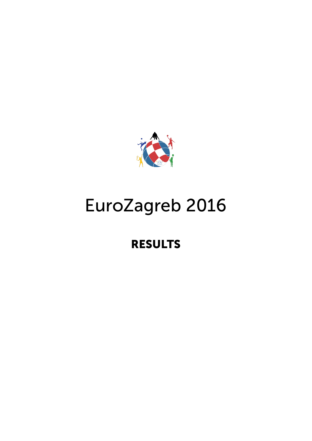

# EuroZagreb 2016

# RESULTS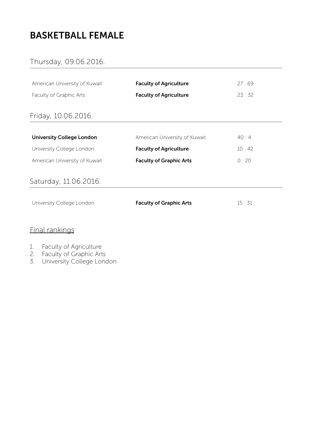# BASKETBALL FEMALE

## Thursday, 09.06.2016.

| American University of Kuwait    | <b>Faculty of Agriculture</b>  | 27:69 |  |
|----------------------------------|--------------------------------|-------|--|
| Faculty of Graphic Arts          | <b>Faculty of Agriculture</b>  | 23:32 |  |
| Friday, 10.06.2016.              |                                |       |  |
| <b>University College London</b> | American University of Kuwait  | 40:4  |  |
| University College London        | <b>Faculty of Agriculture</b>  | 10:42 |  |
| American University of Kuwait    | <b>Faculty of Graphic Arts</b> | 0:20  |  |
| Saturday, 11.06.2016.            |                                |       |  |
| University College London        | <b>Faculty of Graphic Arts</b> | 15:31 |  |

## Final rankings

#### 1. Faculty of Agriculture

- 2. Faculty of Graphic Arts
- 3. University College London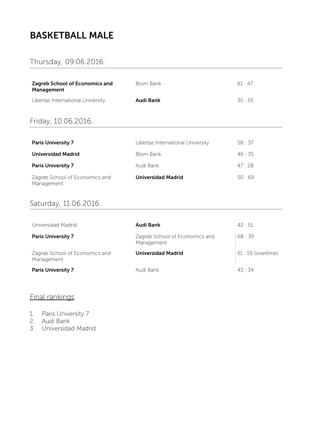# BASKETBALL MALE

## Thursday, 09.06.2016.

| <b>Zagreb School of Economics and</b><br>Management | <b>Blom Bank</b>                  | 61:47 |
|-----------------------------------------------------|-----------------------------------|-------|
| Libertas International University                   | Audi Bank                         | 35:55 |
| Friday, 10.06.2016.                                 |                                   |       |
| <b>Paris University 7</b>                           | Libertas International University | 58:37 |
| <b>Universidad Madrid</b>                           | <b>Blom Bank</b>                  | 46:35 |
| <b>Paris University 7</b>                           | Audi Bank                         | 47:28 |
| Zagreb School of Economics and<br>Management        | <b>Universidad Madrid</b>         | 50:69 |

#### Saturday, 11.06.2016.

| Universidad Madrid                           | Audi Bank                                    | $42 \cdot 51$      |
|----------------------------------------------|----------------------------------------------|--------------------|
| <b>Paris University 7</b>                    | Zagreb School of Economics and<br>Management | 68:39              |
| Zagreb School of Economics and<br>Management | Universidad Madrid                           | 51 : 55 (overtime) |
| <b>Paris University 7</b>                    | Audi Bank                                    | $43 \cdot 34$      |

- 1. Paris University 7
- 2. Audi Bank
- 3. Universidad Madrid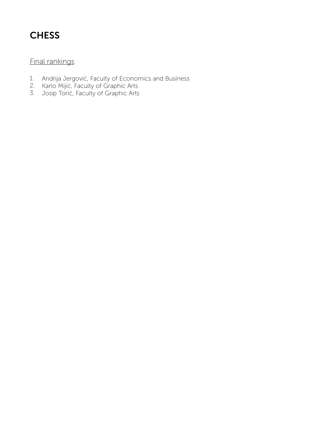# **CHESS**

- 1. Andrija Jergović, Faculty of Economics and Business
- 2. Karlo Mijić, Faculty of Graphic Arts
- 3. Josip Torić, Faculty of Graphic Arts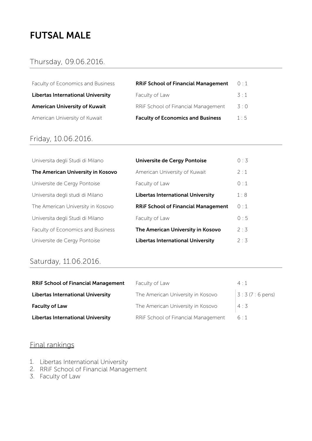## FUTSAL MALE

#### Thursday, 09.06.2016.

Faculty of Economics and Business Libertas International University American University of Kuwait American University of Kuwait

| <b>RRIF School of Financial Management</b> | 0:1          |
|--------------------------------------------|--------------|
| Faculty of Law                             | $-3 \cdot 1$ |
| RRIF School of Financial Management        | 3:0          |
| <b>Faculty of Economics and Business</b>   | 1.5          |

#### Friday, 10.06.2016.

| Universita degli Studi di Milano  | Universite de Cergy Pontoise               | 0:3         |
|-----------------------------------|--------------------------------------------|-------------|
| The American University in Kosovo | American University of Kuwait              | 2:1         |
| Universite de Cergy Pontoise      | Faculty of Law                             | 0:1         |
| Universita degli studi di Milano  | <b>Libertas International University</b>   | 1:8         |
| The American University in Kosovo | <b>RRIF School of Financial Management</b> | $\bigcap$ 1 |
| Universita degli Studi di Milano  | Faculty of Law                             | 0:5         |
| Faculty of Economics and Business | The American University in Kosovo          | 2:3         |
| Universite de Cergy Pontoise      | <b>Libertas International University</b>   | 2:3         |

#### Saturday, 11.06.2016.

| <b>RRIF School of Financial Management</b> | Faculty of Law                      | $4 \cdot 1$             |
|--------------------------------------------|-------------------------------------|-------------------------|
| <b>Libertas International University</b>   | The American University in Kosovo   | $3:3(7:6 \text{ pens})$ |
| <b>Faculty of Law</b>                      | The American University in Kosovo   | 4:3                     |
| <b>Libertas International University</b>   | RRIF School of Financial Management | 6:1                     |

- 1. Libertas International University
- 2. RRiF School of Financial Management
- 3. Faculty of Law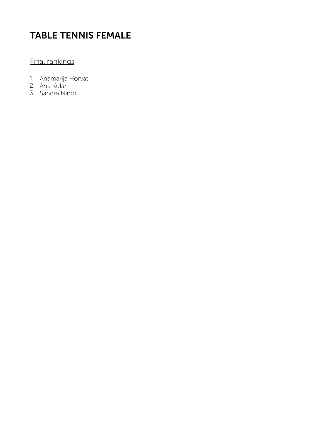# TABLE TENNIS FEMALE

- 1. Anamarija Horvat
- 2. Ana Kolar
- 3. Sandra Ninot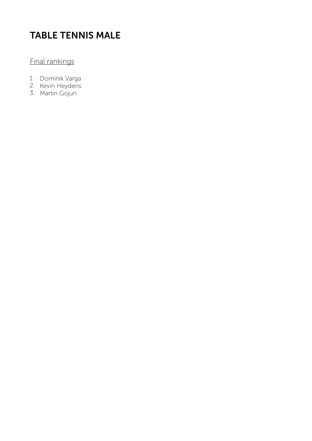# TABLE TENNIS MALE

- 1. Dominik Varga
- 2. Kevin Heydens
- 3. Martin Gojun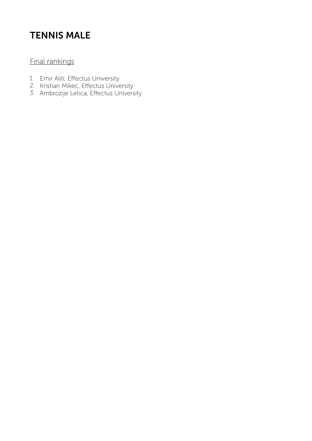# TENNIS MALE

- 1. Emir Aliti, Effectus University
- 2. Kristian Mikec, Effectus University
- 3. Ambrozije Letica, Effectus University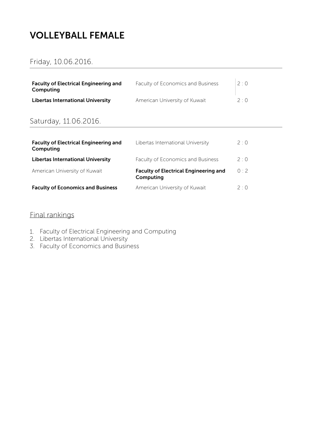# VOLLEYBALL FEMALE

#### Friday, 10.06.2016.

| <b>Faculty of Electrical Engineering and</b><br>Computing | Faculty of Economics and Business | 2.0              |
|-----------------------------------------------------------|-----------------------------------|------------------|
| <b>Libertas International University</b>                  | American University of Kuwait     | $2 \cdot \Omega$ |

#### Saturday, 11.06.2016.

| <b>Faculty of Electrical Engineering and</b><br>Computing | Libertas International University                         | 2:0         |
|-----------------------------------------------------------|-----------------------------------------------------------|-------------|
| <b>Libertas International University</b>                  | Faculty of Economics and Business                         | 2:0         |
| American University of Kuwait                             | <b>Faculty of Electrical Engineering and</b><br>Computing | 0:2         |
| <b>Faculty of Economics and Business</b>                  | American University of Kuwait                             | $2 \cdot 0$ |

- 1. Faculty of Electrical Engineering and Computing
- 2. Libertas International University
- 3. Faculty of Economics and Business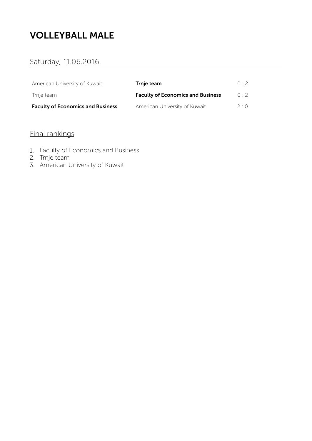# VOLLEYBALL MALE

#### Saturday, 11.06.2016.

| American University of Kuwait            | Trnje team                               | 0.2              |
|------------------------------------------|------------------------------------------|------------------|
| Trnje team                               | <b>Faculty of Economics and Business</b> | 0.2              |
| <b>Faculty of Economics and Business</b> | American University of Kuwait            | $2 \cdot \Omega$ |

- 1. Faculty of Economics and Business
- 2. Trnje team
- 3. American University of Kuwait